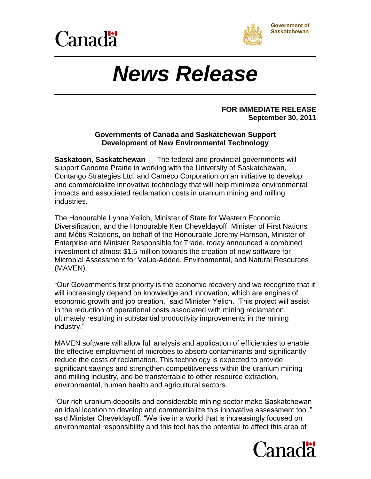



# *News Release*

#### **FOR IMMEDIATE RELEASE September 30, 2011**

### **Governments of Canada and Saskatchewan Support Development of New Environmental Technology**

**Saskatoon, Saskatchewan** — The federal and provincial governments will support Genome Prairie in working with the University of Saskatchewan, Contango Strategies Ltd. and Cameco Corporation on an initiative to develop and commercialize innovative technology that will help minimize environmental impacts and associated reclamation costs in uranium mining and milling industries.

The Honourable Lynne Yelich, Minister of State for Western Economic Diversification, and the Honourable Ken Cheveldayoff, Minister of First Nations and Métis Relations, on behalf of the Honourable Jeremy Harrison, Minister of Enterprise and Minister Responsible for Trade, today announced a combined investment of almost \$1.5 million towards the creation of new software for Microbial Assessment for Value-Added, Environmental, and Natural Resources (MAVEN).

"Our Government's first priority is the economic recovery and we recognize that it will increasingly depend on knowledge and innovation, which are engines of economic growth and job creation," said Minister Yelich. "This project will assist in the reduction of operational costs associated with mining reclamation, ultimately resulting in substantial productivity improvements in the mining industry."

MAVEN software will allow full analysis and application of efficiencies to enable the effective employment of microbes to absorb contaminants and significantly reduce the costs of reclamation. This technology is expected to provide significant savings and strengthen competitiveness within the uranium mining and milling industry, and be transferrable to other resource extraction, environmental, human health and agricultural sectors.

"Our rich uranium deposits and considerable mining sector make Saskatchewan an ideal location to develop and commercialize this innovative assessment tool," said Minister Cheveldayoff. "We live in a world that is increasingly focused on environmental responsibility and this tool has the potential to affect this area of